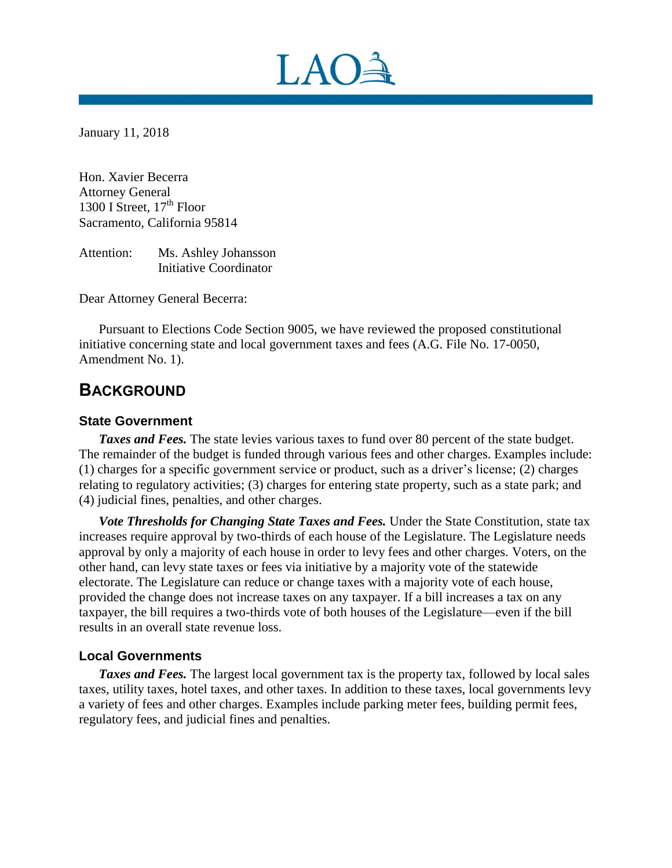

January 11, 2018

Hon. Xavier Becerra Attorney General 1300 I Street,  $17<sup>th</sup>$  Floor Sacramento, California 95814

Attention: Ms. Ashley Johansson Initiative Coordinator

Dear Attorney General Becerra:

Pursuant to Elections Code Section 9005, we have reviewed the proposed constitutional initiative concerning state and local government taxes and fees (A.G. File No. 17-0050, Amendment No. 1).

# **BACKGROUND**

### **State Government**

*Taxes and Fees.* The state levies various taxes to fund over 80 percent of the state budget. The remainder of the budget is funded through various fees and other charges. Examples include: (1) charges for a specific government service or product, such as a driver's license; (2) charges relating to regulatory activities; (3) charges for entering state property, such as a state park; and (4) judicial fines, penalties, and other charges.

*Vote Thresholds for Changing State Taxes and Fees.* Under the State Constitution, state tax increases require approval by two-thirds of each house of the Legislature. The Legislature needs approval by only a majority of each house in order to levy fees and other charges. Voters, on the other hand, can levy state taxes or fees via initiative by a majority vote of the statewide electorate. The Legislature can reduce or change taxes with a majority vote of each house, provided the change does not increase taxes on any taxpayer. If a bill increases a tax on any taxpayer, the bill requires a two-thirds vote of both houses of the Legislature—even if the bill results in an overall state revenue loss.

### **Local Governments**

**Taxes and Fees.** The largest local government tax is the property tax, followed by local sales taxes, utility taxes, hotel taxes, and other taxes. In addition to these taxes, local governments levy a variety of fees and other charges. Examples include parking meter fees, building permit fees, regulatory fees, and judicial fines and penalties.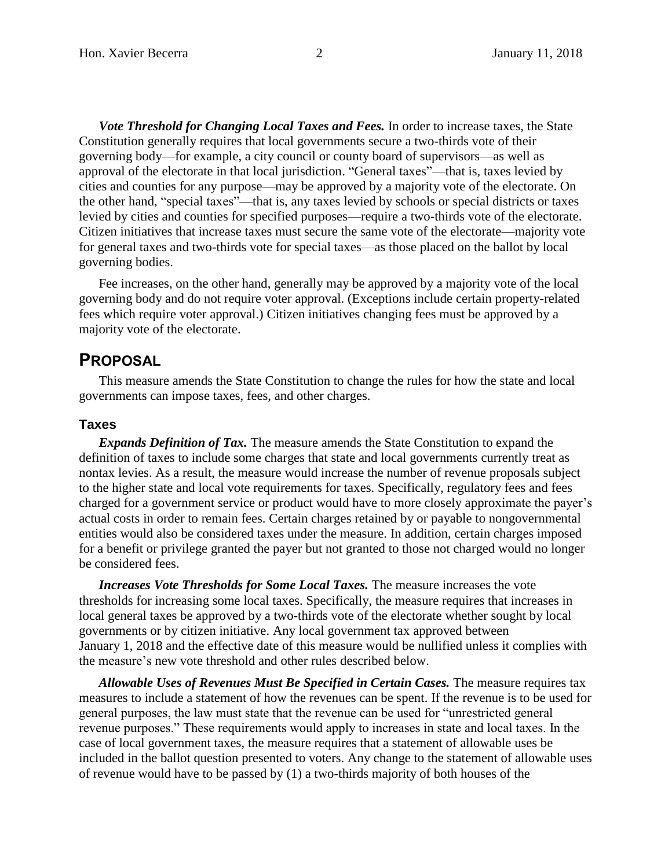*Vote Threshold for Changing Local Taxes and Fees.* In order to increase taxes, the State Constitution generally requires that local governments secure a two-thirds vote of their governing body—for example, a city council or county board of supervisors—as well as approval of the electorate in that local jurisdiction. "General taxes"—that is, taxes levied by cities and counties for any purpose—may be approved by a majority vote of the electorate. On the other hand, "special taxes"—that is, any taxes levied by schools or special districts or taxes levied by cities and counties for specified purposes—require a two-thirds vote of the electorate. Citizen initiatives that increase taxes must secure the same vote of the electorate—majority vote for general taxes and two-thirds vote for special taxes—as those placed on the ballot by local governing bodies.

Fee increases, on the other hand, generally may be approved by a majority vote of the local governing body and do not require voter approval. (Exceptions include certain property-related fees which require voter approval.) Citizen initiatives changing fees must be approved by a majority vote of the electorate.

### **PROPOSAL**

This measure amends the State Constitution to change the rules for how the state and local governments can impose taxes, fees, and other charges.

#### **Taxes**

*Expands Definition of Tax.* The measure amends the State Constitution to expand the definition of taxes to include some charges that state and local governments currently treat as nontax levies. As a result, the measure would increase the number of revenue proposals subject to the higher state and local vote requirements for taxes. Specifically, regulatory fees and fees charged for a government service or product would have to more closely approximate the payer's actual costs in order to remain fees. Certain charges retained by or payable to nongovernmental entities would also be considered taxes under the measure. In addition, certain charges imposed for a benefit or privilege granted the payer but not granted to those not charged would no longer be considered fees.

*Increases Vote Thresholds for Some Local Taxes.* The measure increases the vote thresholds for increasing some local taxes. Specifically, the measure requires that increases in local general taxes be approved by a two-thirds vote of the electorate whether sought by local governments or by citizen initiative. Any local government tax approved between January 1, 2018 and the effective date of this measure would be nullified unless it complies with the measure's new vote threshold and other rules described below.

*Allowable Uses of Revenues Must Be Specified in Certain Cases.* The measure requires tax measures to include a statement of how the revenues can be spent. If the revenue is to be used for general purposes, the law must state that the revenue can be used for "unrestricted general revenue purposes." These requirements would apply to increases in state and local taxes. In the case of local government taxes, the measure requires that a statement of allowable uses be included in the ballot question presented to voters. Any change to the statement of allowable uses of revenue would have to be passed by (1) a two-thirds majority of both houses of the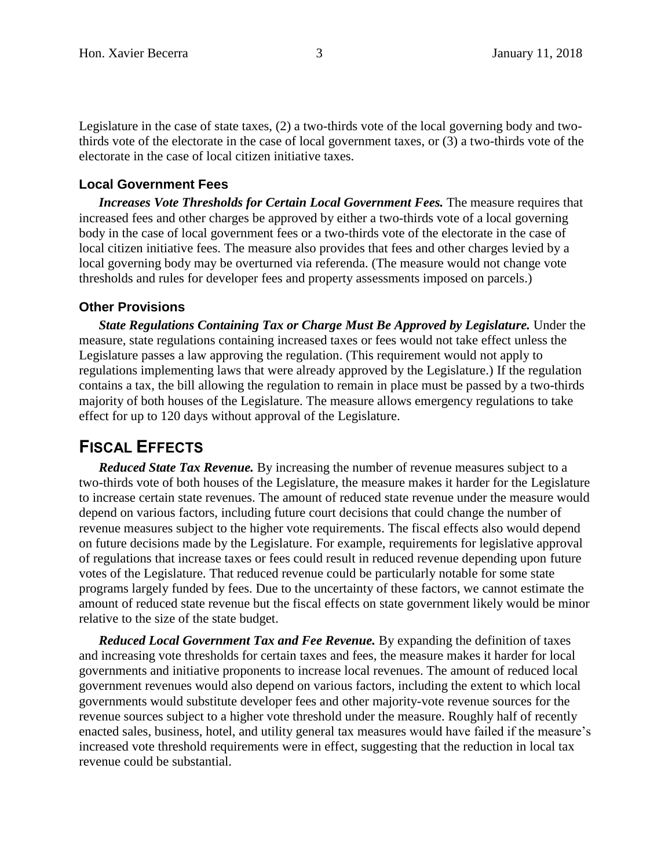Legislature in the case of state taxes, (2) a two-thirds vote of the local governing body and twothirds vote of the electorate in the case of local government taxes, or (3) a two-thirds vote of the electorate in the case of local citizen initiative taxes.

### **Local Government Fees**

**Increases Vote Thresholds for Certain Local Government Fees.** The measure requires that increased fees and other charges be approved by either a two-thirds vote of a local governing body in the case of local government fees or a two-thirds vote of the electorate in the case of local citizen initiative fees. The measure also provides that fees and other charges levied by a local governing body may be overturned via referenda. (The measure would not change vote thresholds and rules for developer fees and property assessments imposed on parcels.)

#### **Other Provisions**

*State Regulations Containing Tax or Charge Must Be Approved by Legislature.* **Under the** measure, state regulations containing increased taxes or fees would not take effect unless the Legislature passes a law approving the regulation. (This requirement would not apply to regulations implementing laws that were already approved by the Legislature.) If the regulation contains a tax, the bill allowing the regulation to remain in place must be passed by a two-thirds majority of both houses of the Legislature. The measure allows emergency regulations to take effect for up to 120 days without approval of the Legislature.

## **FISCAL EFFECTS**

*Reduced State Tax Revenue.* By increasing the number of revenue measures subject to a two-thirds vote of both houses of the Legislature, the measure makes it harder for the Legislature to increase certain state revenues. The amount of reduced state revenue under the measure would depend on various factors, including future court decisions that could change the number of revenue measures subject to the higher vote requirements. The fiscal effects also would depend on future decisions made by the Legislature. For example, requirements for legislative approval of regulations that increase taxes or fees could result in reduced revenue depending upon future votes of the Legislature. That reduced revenue could be particularly notable for some state programs largely funded by fees. Due to the uncertainty of these factors, we cannot estimate the amount of reduced state revenue but the fiscal effects on state government likely would be minor relative to the size of the state budget.

*Reduced Local Government Tax and Fee Revenue.* By expanding the definition of taxes and increasing vote thresholds for certain taxes and fees, the measure makes it harder for local governments and initiative proponents to increase local revenues. The amount of reduced local government revenues would also depend on various factors, including the extent to which local governments would substitute developer fees and other majority-vote revenue sources for the revenue sources subject to a higher vote threshold under the measure. Roughly half of recently enacted sales, business, hotel, and utility general tax measures would have failed if the measure's increased vote threshold requirements were in effect, suggesting that the reduction in local tax revenue could be substantial.